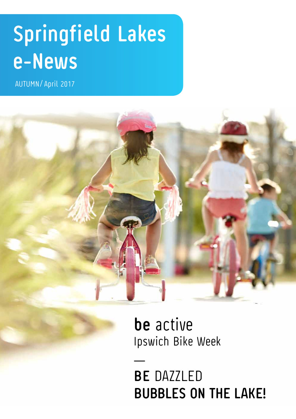# **Springfield Lakes e-News**

AUTUMN/ April 2017



**be** active Ipswich Bike Week

**BE** DAZZLED **BUBBLES ON THE LAKE!**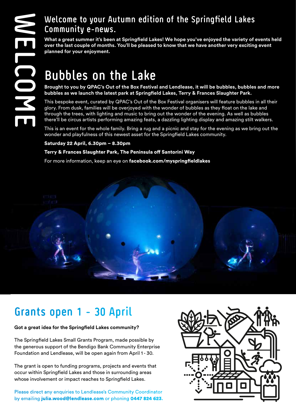#### **Welcome to your Autumn edition of the Springfield Lakes Community e-news.**

**What a great summer it's been at Springfield Lakes! We hope you've enjoyed the variety of events held over the last couple of months. You'll be pleased to know that we have another very exciting event planned for your enjoyment.**

# **Bubbles on the Lake**

**Brought to you by QPAC's Out of the Box Festival and Lendlease, it will be bubbles, bubbles and more bubbles as we launch the latest park at Springfield Lakes, Terry & Frances Slaughter Park.**

This bespoke event, curated by QPAC's Out of the Box Festival organisers will feature bubbles in all their glory. From dusk, families will be overjoyed with the wonder of bubbles as they float on the lake and through the trees, with lighting and music to bring out the wonder of the evening. As well as bubbles there'll be circus artists performing amazing feats, a dazzling lighting display and amazing stilt walkers.

This is an event for the whole family. Bring a rug and a picnic and stay for the evening as we bring out the wonder and playfulness of this newest asset for the Springfield Lakes community.

#### Saturday 22 April, 6.30pm – 8.30pm

#### Terry & Frances Slaughter Park, The Peninsula off Santorini Way

For more information, keep an eye on facebook.com/myspringfieldlakes



## **Grants open 1 - 30 April**

#### **Got a great idea for the Springfield Lakes community?**

The Springfield Lakes Small Grants Program, made possible by the generous support of the Bendigo Bank Community Enterprise Foundation and Lendlease, will be open again from April 1 - 30.

The grant is open to funding programs, projects and events that occur within Springfield Lakes and those in surrounding areas whose involvement or impact reaches to Springfield Lakes.

Please direct any enquiries to Lendlease's Community Coordinator by emailing julia.wood@lendlease.com or phoning 0447 824 623.

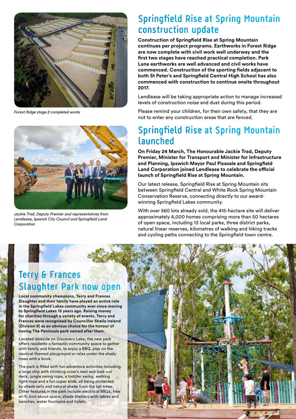

*Forest Ridge stage 2 completed works* 



*Jackie Trad, Deputy Premier and representatives from Lendlease, Ipswich City Council and Springfield Land Corporation*

### **Springfield Rise at Spring Mountain construction update**

**Construction of Springfield Rise at Spring Mountain continues per project programs. Earthworks in Forest Ridge are now complete with civil work well underway and the first two stages have reached practical completion. Park Lane earthworks are well advanced and civil works have commenced. Construction of the sporting fields adjacent to both St Peter's and Springfield Central High School has also commenced with construction to continue onsite throughout 2017.**

Lendlease will be taking appropriate action to manage increased levels of construction noise and dust during this period.

Please remind your children, for their own safety, that they are not to enter any construction areas that are fenced.

### **Springfield Rise at Spring Mountain launched**

**On Friday 24 March, The Honourable Jackie Trad, Deputy Premier, Minister for Transport and Minister for Infrastructure and Planning, Ipswich Mayor Paul Pisasale and Springfield Land Corporation joined Lendlease to celebrate the official launch of Springfield Rise at Spring Mountain.** 

Our latest release, Springfield Rise at Spring Mountain sits between Springfield Central and White Rock Spring Mountain Conservation Reserve, connecting directly to our awardwinning Springfield Lakes community.

With over 560 lots already sold, the 415-hectare site will deliver approximately 4,000 homes comprising more than 50 hectares of open space, including 13 local parks, three district parks, natural linear reserves, kilometres of walking and hiking tracks and cycling paths connecting to the Springfield town centre.

## **Terry & Frances Slaughter Park now open**

**Local community champions, Terry and Frances Slaughter and their family have played an active role in the Springfield Lakes community ever since moving to Springfield Lakes 15 years ago. Raising money for charities through a variety of events, Terry and Frances were recognised by Councillor Sheila Ireland (Division 9) as an obvious choice for the honour of having The Peninsula park named after them.**

Located lakeside on Discovery Lake, the new park offers residents a fantastic community space to gather with family and friends, to enjoy a BBQ, play on the nautical themed playground or relax under the shady trees with a book.

The park is filled with fun adventure activities including a large ship with climbing crow's nest and look out deck, jungle swing rope, a toddler swing, walking tight-rope and a fun super slide, all being protected by shade sails and natural shade from the tall trees. Other features in the park include electrical BBQs, free wi-fi, kick about space, shade shelters with tables and benches, water fountains and toilets.

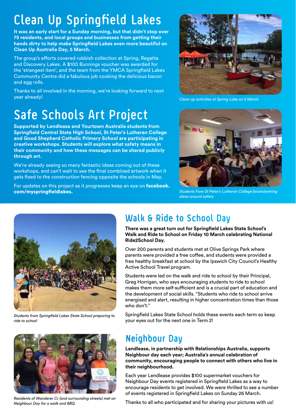# **Clean Up Springfield Lakes**

**It was an early start for a Sunday morning, but that didn't stop over 75 residents, and local groups and businesses from getting their hands dirty to help make Springfield Lakes even more beautiful on Clean Up Australia Day, 5 March.** 

The group's efforts covered rubbish collection at Spring, Regatta and Discovery Lakes. A \$100 Bunnings voucher was awarded for the 'strangest item', and the team from the YMCA Springfield Lakes Community Centre did a fabulous job cooking the delicious bacon and egg rolls.

Thanks to all involved in the morning, we're looking forward to next year already!

# **Safe Schools Art Project**

**Supported by Lendlease and Yourtown Australia students from Springfield Central State High School, St Peter's Lutheran College and Good Shepherd Catholic Primary School are participating in creative workshops. Students will explore what safety means in their community and how these messages can be shared publicly through art.** 

We're already seeing so many fantastic ideas coming out of these workshops, and can't wait to see the final combined artwork when it gets fixed to the construction fencing opposite the schools in May.

For updates on this project as it progresses keep an eye on facebook. com/myspringfieldlakes.



*Clean up activities at Spring Lake on 5 March*



*Students from St Peter's Lutheran College brainstorming ideas around safety*



*Students from Springfield Lakes State School preparing to ride to school* 



*Residents of Wanderer Cr (and surrounding streets) met on Neighbour Day for a walk and BBQ*

## **Walk & Ride to School Day**

**There was a great turn out for Springfield Lakes State School's Walk and Ride to School on Friday 10 March celebrating National Ride2School Day.**

Over 200 parents and students met at Olive Springs Park where parents were provided a free coffee, and students were provided a free healthy breakfast at school by the Ipswich City Council's Healthy Active School Travel program.

Students were led on the walk and ride to school by their Principal, Greg Horrigan, who says encouraging students to ride to school makes them more self-sufficient and is a crucial part of education and the development of social skills. "Students who ride to school arrive energised and alert, resulting in higher concentration times than those who don't."

Springfield Lakes State School holds these events each term so keep your eyes out for the next one in Term 2!

## **Neighbour Day**

**Lendlease, in partnership with Relationships Australia, supports Neighbour day each year; Australia's annual celebration of community, encouraging people to connect with others who live in their neighbourhood.** 

Each year Lendlease provides \$100 supermarket vouchers for Neighbour Day events registered in Springfield Lakes as a way to encourage residents to get involved. We were thrilled to see a number of events registered in Springfield Lakes on Sunday 26 March.

Thanks to all who participated and for sharing your pictures with us!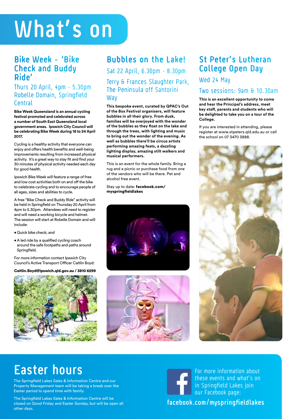# **What's on**

#### **Bike Week - 'Bike Check and Buddy Ride'**

Thurs 20 April, 4pm - 5.30pm Robelle Domain, Springfield **Central** 

**Bike Week Queensland is an annual cycling festival promoted and celebrated across a number of South East Queensland local government areas. Ipswich City Council will be celebrating Bike Week during 18 to 24 April 2017.**

Cycling is a healthy activity that everyone can enjoy and offers health benefits and well-being improvements resulting from increased physical activity. It's a great way to stay fit and find your 30 minutes of physical activity needed each day for good health.

Ipswich Bike Week will feature a range of free and low cost activities both on and off the bike to celebrate cycling and to encourage people of all ages, sizes and abilities to cycle.

A free "Bike Check and Buddy Ride" activity will be held in Springfield on Thursday 20 April from 4pm to 5.30pm. Attendees will need to register and will need a working bicycle and helmet. The session will start at Robelle Domain and will include:

- Quick bike check; and
- •A led ride by a qualified cycling coach around the safe footpaths and paths around Springfield.

For more information contact Ipswich City Council's Active Transport Officer Caitlin Boyd:

Caitlin.Boyd@ipswich.qld.gov.au / 3810 6299



#### **Bubbles on the Lake!**

Sat 22 April, 6.30pm - 8.30pm Terry & Frances Slaughter Park, The Peninsula off Santorini **Way** 

**This bespoke event, curated by QPAC's Out of the Box Festival organisers, will feature bubbles in all their glory. From dusk, families will be overjoyed with the wonder of the bubbles as they float on the lake and through the trees, with lighting and music to bring out the wonder of the evening. As well as bubbles there'll be circus artists performing amazing feats, a dazzling lighting display, amazing stilt walkers and musical performers.** 

This is an event for the whole family. Bring a rug and a picnic or purchase food from one of the vendors who will be there. Pet and alcohol free event.

Stay up to date: facebook.com/ myspringfieldlakes





#### **St Peter's Lutheran College Open Day**

#### Wed 24 May

#### Two sessions: 9am & 10.30am

**This is an excellent opportunity to come and hear the Principal's address, meet key staff, parents and students who will be delighted to take you on a tour of the College.** 

If you are interested in attending, please register at www.stpeters.qld.edu.au or call the school on 07 3470 3888.



## **Easter hours**

The Springfield Lakes Sales & Information Centre and our Property Management team will be taking a break over the Easter period to spend time with family.

The Springfield Lakes Sales & Information Centre will be closed on Good Friday and Easter Sunday, but will be open all other days.

For more information about these events and what's on in Springfield Lakes join our Facebook page: **facebook.com/myspringfieldlakes**